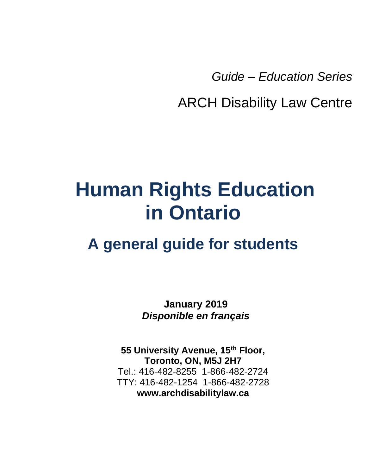*Guide – Education Series*

ARCH Disability Law Centre

# **Human Rights Education in Ontario**

### **A general guide for students**

**January 2019**  *Disponible en français* 

**55 University Avenue, 15th Floor, Toronto, ON, M5J 2H7** Tel.: 416-482-8255 1-866-482-2724 TTY: 416-482-1254 1-866-482-2728 **www.archdisabilitylaw.ca**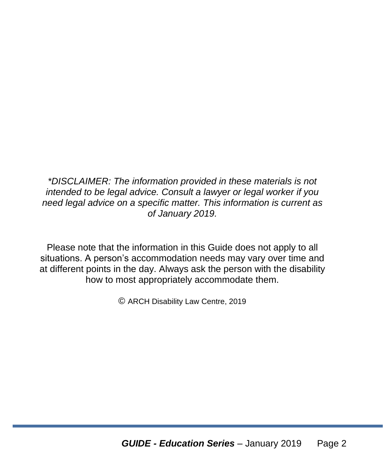*\*DISCLAIMER: The information provided in these materials is not intended to be legal advice. Consult a lawyer or legal worker if you need legal advice on a specific matter. This information is current as of January 2019.*

Please note that the information in this Guide does not apply to all situations. A person's accommodation needs may vary over time and at different points in the day. Always ask the person with the disability how to most appropriately accommodate them.

© ARCH Disability Law Centre, 2019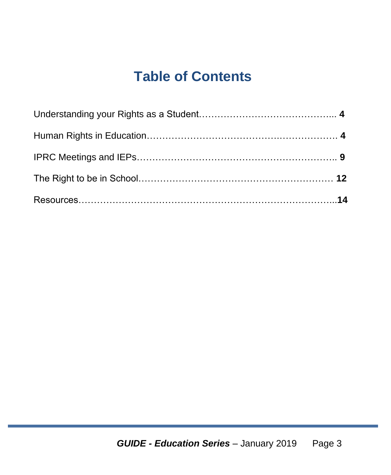## **Table of Contents**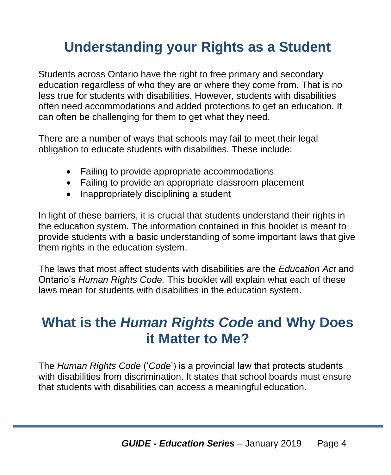## **Understanding your Rights as a Student**

Students across Ontario have the right to free primary and secondary education regardless of who they are or where they come from. That is no less true for students with disabilities. However, students with disabilities often need accommodations and added protections to get an education. It can often be challenging for them to get what they need.

There are a number of ways that schools may fail to meet their legal obligation to educate students with disabilities. These include:

- Failing to provide appropriate accommodations
- Failing to provide an appropriate classroom placement
- Inappropriately disciplining a student

In light of these barriers, it is crucial that students understand their rights in the education system. The information contained in this booklet is meant to provide students with a basic understanding of some important laws that give them rights in the education system.

The laws that most affect students with disabilities are the *Education Act* and Ontario's *Human Rights Code.* This booklet will explain what each of these laws mean for students with disabilities in the education system.

### **What is the** *Human Rights Code* **and Why Does it Matter to Me?**

The *Human Rights Code* ('*Code*') is a provincial law that protects students with disabilities from discrimination. It states that school boards must ensure that students with disabilities can access a meaningful education.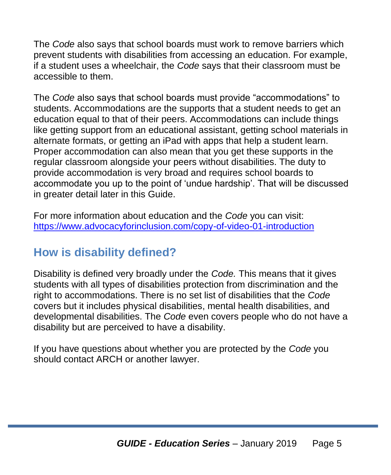The *Code* also says that school boards must work to remove barriers which prevent students with disabilities from accessing an education. For example, if a student uses a wheelchair, the *Code* says that their classroom must be accessible to them.

The *Code* also says that school boards must provide "accommodations" to students. Accommodations are the supports that a student needs to get an education equal to that of their peers. Accommodations can include things like getting support from an educational assistant, getting school materials in alternate formats, or getting an iPad with apps that help a student learn. Proper accommodation can also mean that you get these supports in the regular classroom alongside your peers without disabilities. The duty to provide accommodation is very broad and requires school boards to accommodate you up to the point of 'undue hardship'. That will be discussed in greater detail later in this Guide.

For more information about education and the *Code* you can visit: <https://www.advocacyforinclusion.com/copy-of-video-01-introduction>

### **How is disability defined?**

Disability is defined very broadly under the *Code.* This means that it gives students with all types of disabilities protection from discrimination and the right to accommodations. There is no set list of disabilities that the *Code*  covers but it includes physical disabilities, mental health disabilities, and developmental disabilities. The *Code* even covers people who do not have a disability but are perceived to have a disability.

If you have questions about whether you are protected by the *Code* you should contact ARCH or another lawyer.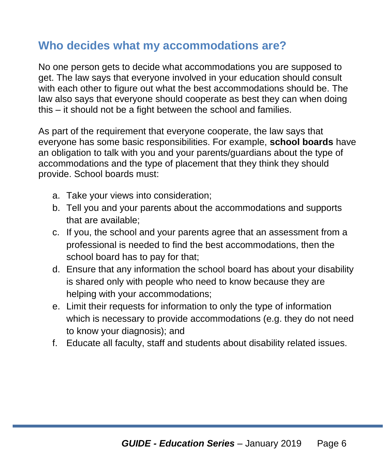#### **Who decides what my accommodations are?**

No one person gets to decide what accommodations you are supposed to get. The law says that everyone involved in your education should consult with each other to figure out what the best accommodations should be. The law also says that everyone should cooperate as best they can when doing this – it should not be a fight between the school and families.

As part of the requirement that everyone cooperate, the law says that everyone has some basic responsibilities. For example, **school boards** have an obligation to talk with you and your parents/guardians about the type of accommodations and the type of placement that they think they should provide. School boards must:

- a. Take your views into consideration;
- b. Tell you and your parents about the accommodations and supports that are available;
- c. If you, the school and your parents agree that an assessment from a professional is needed to find the best accommodations, then the school board has to pay for that;
- d. Ensure that any information the school board has about your disability is shared only with people who need to know because they are helping with your accommodations;
- e. Limit their requests for information to only the type of information which is necessary to provide accommodations (e.g. they do not need to know your diagnosis); and
- f. Educate all faculty, staff and students about disability related issues.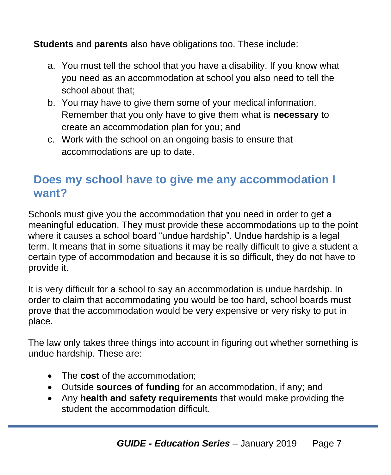**Students** and **parents** also have obligations too. These include:

- a. You must tell the school that you have a disability. If you know what you need as an accommodation at school you also need to tell the school about that;
- b. You may have to give them some of your medical information. Remember that you only have to give them what is **necessary** to create an accommodation plan for you; and
- c. Work with the school on an ongoing basis to ensure that accommodations are up to date.

#### **Does my school have to give me any accommodation I want?**

Schools must give you the accommodation that you need in order to get a meaningful education. They must provide these accommodations up to the point where it causes a school board "undue hardship". Undue hardship is a legal term. It means that in some situations it may be really difficult to give a student a certain type of accommodation and because it is so difficult, they do not have to provide it.

It is very difficult for a school to say an accommodation is undue hardship. In order to claim that accommodating you would be too hard, school boards must prove that the accommodation would be very expensive or very risky to put in place.

The law only takes three things into account in figuring out whether something is undue hardship. These are:

- The **cost** of the accommodation;
- Outside **sources of funding** for an accommodation, if any; and
- Any **health and safety requirements** that would make providing the student the accommodation difficult.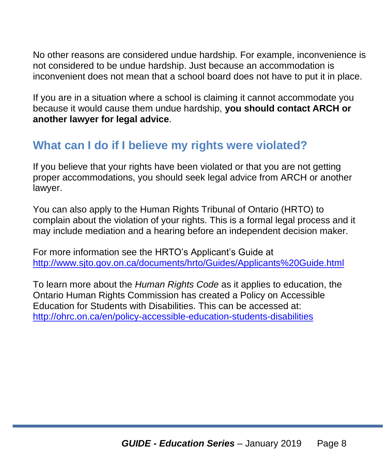No other reasons are considered undue hardship. For example, inconvenience is not considered to be undue hardship. Just because an accommodation is inconvenient does not mean that a school board does not have to put it in place.

If you are in a situation where a school is claiming it cannot accommodate you because it would cause them undue hardship, **you should contact ARCH or another lawyer for legal advice**.

#### **What can I do if I believe my rights were violated?**

If you believe that your rights have been violated or that you are not getting proper accommodations, you should seek legal advice from ARCH or another lawyer.

You can also apply to the Human Rights Tribunal of Ontario (HRTO) to complain about the violation of your rights. This is a formal legal process and it may include mediation and a hearing before an independent decision maker.

For more information see the HRTO's Applicant's Guide at <http://www.sjto.gov.on.ca/documents/hrto/Guides/Applicants%20Guide.html>

To learn more about the *Human Rights Code* as it applies to education, the Ontario Human Rights Commission has created a Policy on Accessible Education for Students with Disabilities. This can be accessed at: <http://ohrc.on.ca/en/policy-accessible-education-students-disabilities>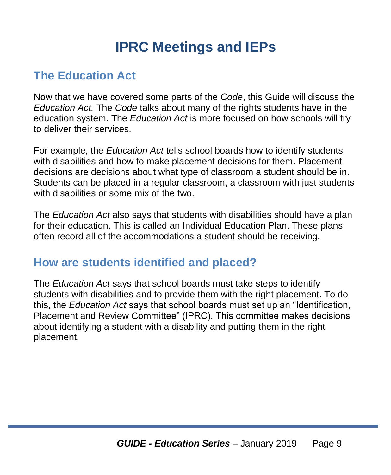## **IPRC Meetings and IEPs**

#### **The Education Act**

Now that we have covered some parts of the *Code*, this Guide will discuss the *Education Act.* The *Code* talks about many of the rights students have in the education system. The *Education Act* is more focused on how schools will try to deliver their services.

For example, the *Education Act* tells school boards how to identify students with disabilities and how to make placement decisions for them. Placement decisions are decisions about what type of classroom a student should be in. Students can be placed in a regular classroom, a classroom with just students with disabilities or some mix of the two.

The *Education Act* also says that students with disabilities should have a plan for their education. This is called an Individual Education Plan. These plans often record all of the accommodations a student should be receiving.

#### **How are students identified and placed?**

The *Education Act* says that school boards must take steps to identify students with disabilities and to provide them with the right placement. To do this, the *Education Act* says that school boards must set up an "Identification, Placement and Review Committee" (IPRC). This committee makes decisions about identifying a student with a disability and putting them in the right placement.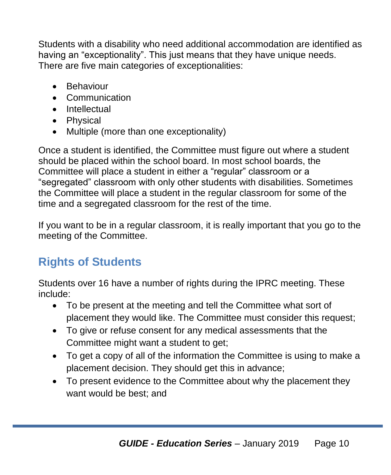Students with a disability who need additional accommodation are identified as having an "exceptionality". This just means that they have unique needs. There are five main categories of exceptionalities:

- Behaviour
- Communication
- Intellectual
- Physical
- Multiple (more than one exceptionality)

Once a student is identified, the Committee must figure out where a student should be placed within the school board. In most school boards, the Committee will place a student in either a "regular" classroom or a "segregated" classroom with only other students with disabilities. Sometimes the Committee will place a student in the regular classroom for some of the time and a segregated classroom for the rest of the time.

If you want to be in a regular classroom, it is really important that you go to the meeting of the Committee.

### **Rights of Students**

Students over 16 have a number of rights during the IPRC meeting. These include:

- To be present at the meeting and tell the Committee what sort of placement they would like. The Committee must consider this request;
- To give or refuse consent for any medical assessments that the Committee might want a student to get;
- To get a copy of all of the information the Committee is using to make a placement decision. They should get this in advance;
- To present evidence to the Committee about why the placement they want would be best; and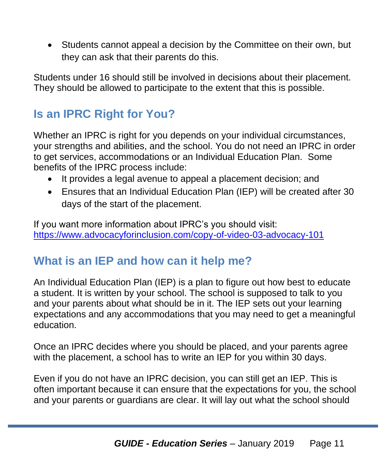• Students cannot appeal a decision by the Committee on their own, but they can ask that their parents do this.

Students under 16 should still be involved in decisions about their placement. They should be allowed to participate to the extent that this is possible.

### **Is an IPRC Right for You?**

Whether an IPRC is right for you depends on your individual circumstances, your strengths and abilities, and the school. You do not need an IPRC in order to get services, accommodations or an Individual Education Plan. Some benefits of the IPRC process include:

- It provides a legal avenue to appeal a placement decision; and
- Ensures that an Individual Education Plan (IEP) will be created after 30 days of the start of the placement.

If you want more information about IPRC's you should visit: <https://www.advocacyforinclusion.com/copy-of-video-03-advocacy-101>

### **What is an IEP and how can it help me?**

An Individual Education Plan (IEP) is a plan to figure out how best to educate a student. It is written by your school. The school is supposed to talk to you and your parents about what should be in it. The IEP sets out your learning expectations and any accommodations that you may need to get a meaningful education.

Once an IPRC decides where you should be placed, and your parents agree with the placement, a school has to write an IEP for you within 30 days.

Even if you do not have an IPRC decision, you can still get an IEP. This is often important because it can ensure that the expectations for you, the school and your parents or guardians are clear. It will lay out what the school should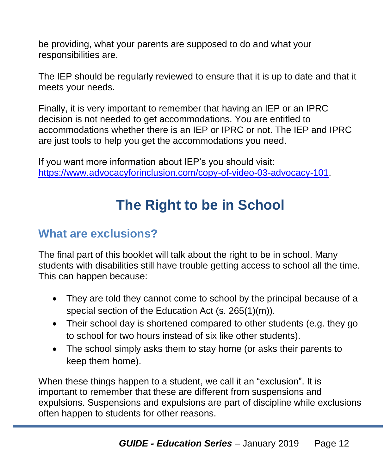be providing, what your parents are supposed to do and what your responsibilities are.

The IEP should be regularly reviewed to ensure that it is up to date and that it meets your needs.

Finally, it is very important to remember that having an IEP or an IPRC decision is not needed to get accommodations. You are entitled to accommodations whether there is an IEP or IPRC or not. The IEP and IPRC are just tools to help you get the accommodations you need.

If you want more information about IEP's you should visit: [https://www.advocacyforinclusion.com/copy-of-video-03-advocacy-101.](https://www.advocacyforinclusion.com/copy-of-video-03-advocacy-101)

## **The Right to be in School**

#### **What are exclusions?**

The final part of this booklet will talk about the right to be in school. Many students with disabilities still have trouble getting access to school all the time. This can happen because:

- They are told they cannot come to school by the principal because of a special section of the Education Act (s. 265(1)(m)).
- Their school day is shortened compared to other students (e.g. they go to school for two hours instead of six like other students).
- The school simply asks them to stay home (or asks their parents to keep them home).

When these things happen to a student, we call it an "exclusion". It is important to remember that these are different from suspensions and expulsions. Suspensions and expulsions are part of discipline while exclusions often happen to students for other reasons.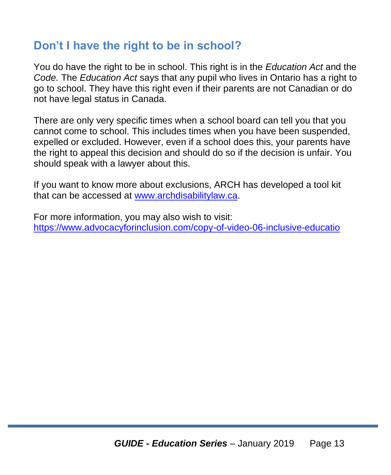#### **Don't I have the right to be in school?**

You do have the right to be in school. This right is in the *Education Act* and the *Code.* The *Education Act* says that any pupil who lives in Ontario has a right to go to school. They have this right even if their parents are not Canadian or do not have legal status in Canada.

There are only very specific times when a school board can tell you that you cannot come to school. This includes times when you have been suspended, expelled or excluded. However, even if a school does this, your parents have the right to appeal this decision and should do so if the decision is unfair. You should speak with a lawyer about this.

If you want to know more about exclusions, ARCH has developed a tool kit that can be accessed at [www.archdisabilitylaw.ca.](http://www.archdisabilitylaw.ca/)

For more information, you may also wish to visit: <https://www.advocacyforinclusion.com/copy-of-video-06-inclusive-educatio>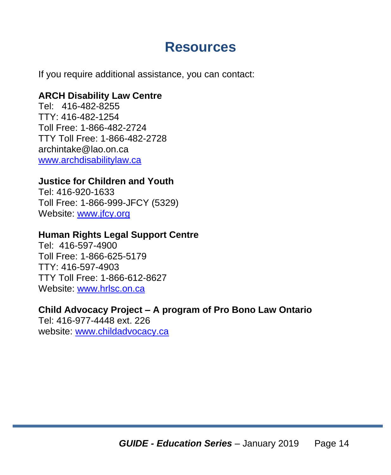### **Resources**

If you require additional assistance, you can contact:

#### **ARCH Disability Law Centre**

Tel: 416-482-8255 TTY: 416-482-1254 Toll Free: 1-866-482-2724 TTY Toll Free: 1-866-482-2728 archintake@lao.on.ca [www.archdisabilitylaw.ca](http://www.archdisabilitylaw.ca/)

#### **Justice for Children and Youth**

Tel: 416-920-1633 Toll Free: 1-866-999-JFCY (5329) Website: [www.jfcy.org](http://www.jfcy.org/)

#### **Human Rights Legal Support Centre**

Tel: 416-597-4900 Toll Free: 1-866-625-5179 TTY: 416-597-4903 TTY Toll Free: 1-866-612-8627 Website: [www.hrlsc.on.ca](http://www.hrlsc.on.ca/)

#### **Child Advocacy Project – A program of Pro Bono Law Ontario**

Tel: 416-977-4448 ext. 226 website: [www.childadvocacy.ca](http://www.childadvocacy.ca/)